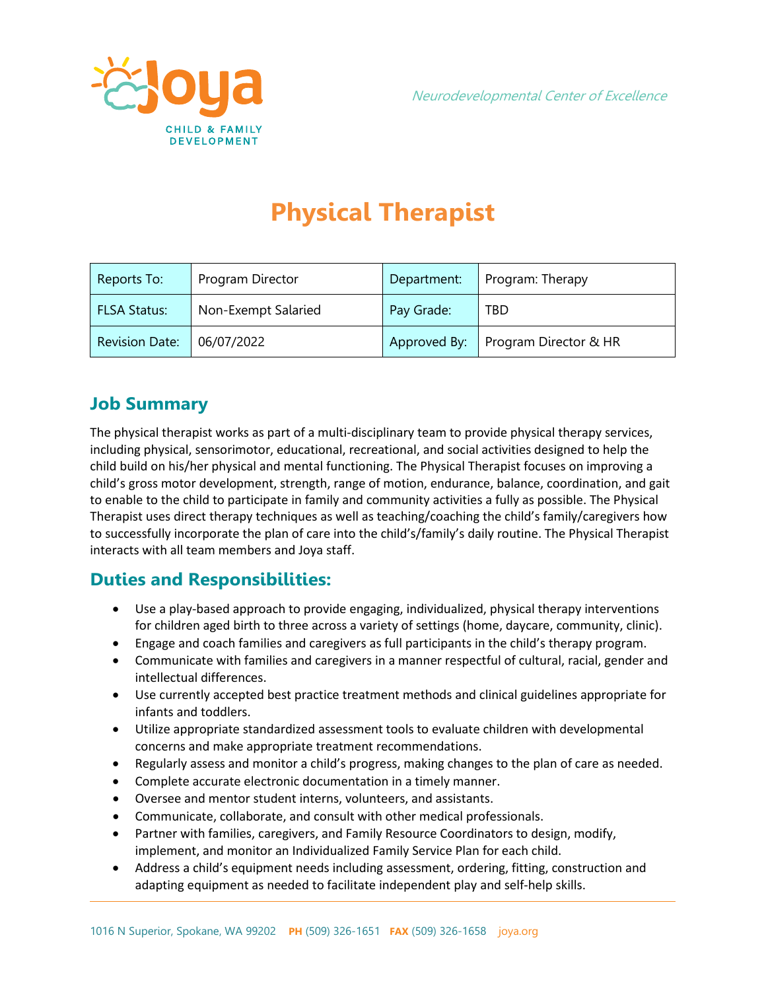

# **Physical Therapist**

| Reports To:           | Program Director    | Department: | Program: Therapy                     |
|-----------------------|---------------------|-------------|--------------------------------------|
| <b>FLSA Status:</b>   | Non-Exempt Salaried | Pay Grade:  | TBD                                  |
| <b>Revision Date:</b> | 06/07/2022          |             | Approved By:   Program Director & HR |

## **Job Summary**

The physical therapist works as part of a multi-disciplinary team to provide physical therapy services, including physical, sensorimotor, educational, recreational, and social activities designed to help the child build on his/her physical and mental functioning. The Physical Therapist focuses on improving a child's gross motor development, strength, range of motion, endurance, balance, coordination, and gait to enable to the child to participate in family and community activities a fully as possible. The Physical Therapist uses direct therapy techniques as well as teaching/coaching the child's family/caregivers how to successfully incorporate the plan of care into the child's/family's daily routine. The Physical Therapist interacts with all team members and Joya staff.

# **Duties and Responsibilities:**

- Use a play-based approach to provide engaging, individualized, physical therapy interventions for children aged birth to three across a variety of settings (home, daycare, community, clinic).
- Engage and coach families and caregivers as full participants in the child's therapy program.
- Communicate with families and caregivers in a manner respectful of cultural, racial, gender and intellectual differences.
- Use currently accepted best practice treatment methods and clinical guidelines appropriate for infants and toddlers.
- Utilize appropriate standardized assessment tools to evaluate children with developmental concerns and make appropriate treatment recommendations.
- Regularly assess and monitor a child's progress, making changes to the plan of care as needed.
- Complete accurate electronic documentation in a timely manner.
- Oversee and mentor student interns, volunteers, and assistants.
- Communicate, collaborate, and consult with other medical professionals.
- Partner with families, caregivers, and Family Resource Coordinators to design, modify, implement, and monitor an Individualized Family Service Plan for each child.
- Address a child's equipment needs including assessment, ordering, fitting, construction and adapting equipment as needed to facilitate independent play and self-help skills.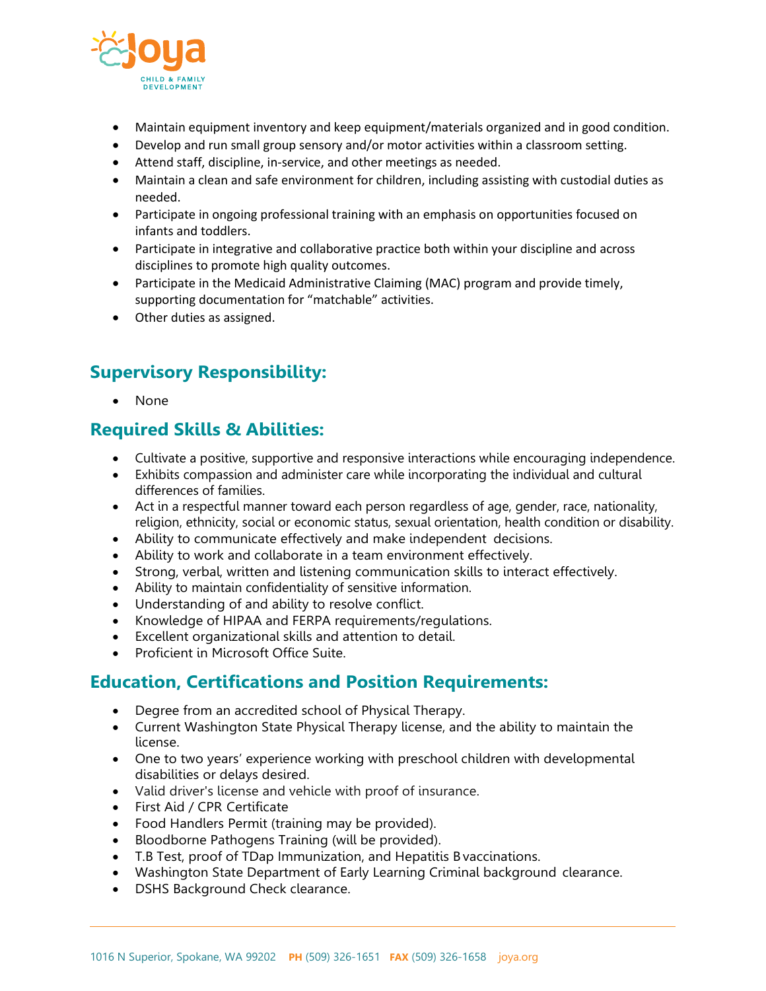

- Maintain equipment inventory and keep equipment/materials organized and in good condition.
- Develop and run small group sensory and/or motor activities within a classroom setting.
- Attend staff, discipline, in-service, and other meetings as needed.
- Maintain a clean and safe environment for children, including assisting with custodial duties as needed.
- Participate in ongoing professional training with an emphasis on opportunities focused on infants and toddlers.
- Participate in integrative and collaborative practice both within your discipline and across disciplines to promote high quality outcomes.
- Participate in the Medicaid Administrative Claiming (MAC) program and provide timely, supporting documentation for "matchable" activities.
- Other duties as assigned.

## **Supervisory Responsibility:**

• None

## **Required Skills & Abilities:**

- Cultivate a positive, supportive and responsive interactions while encouraging independence.
- Exhibits compassion and administer care while incorporating the individual and cultural differences of families.
- Act in a respectful manner toward each person regardless of age, gender, race, nationality, religion, ethnicity, social or economic status, sexual orientation, health condition or disability.
- Ability to communicate effectively and make independent decisions.
- Ability to work and collaborate in a team environment effectively.
- Strong, verbal, written and listening communication skills to interact effectively.
- Ability to maintain confidentiality of sensitive information.
- Understanding of and ability to resolve conflict.
- Knowledge of HIPAA and FERPA requirements/regulations.
- Excellent organizational skills and attention to detail.
- Proficient in Microsoft Office Suite.

#### **Education, Certifications and Position Requirements:**

- Degree from an accredited school of Physical Therapy.
- Current Washington State Physical Therapy license, and the ability to maintain the license.
- One to two years' experience working with preschool children with developmental disabilities or delays desired.
- Valid driver's license and vehicle with proof of insurance.
- First Aid / CPR Certificate
- Food Handlers Permit (training may be provided).
- Bloodborne Pathogens Training (will be provided).
- T.B Test, proof of TDap Immunization, and Hepatitis B vaccinations.
- Washington State Department of Early Learning Criminal background clearance.
- DSHS Background Check clearance.